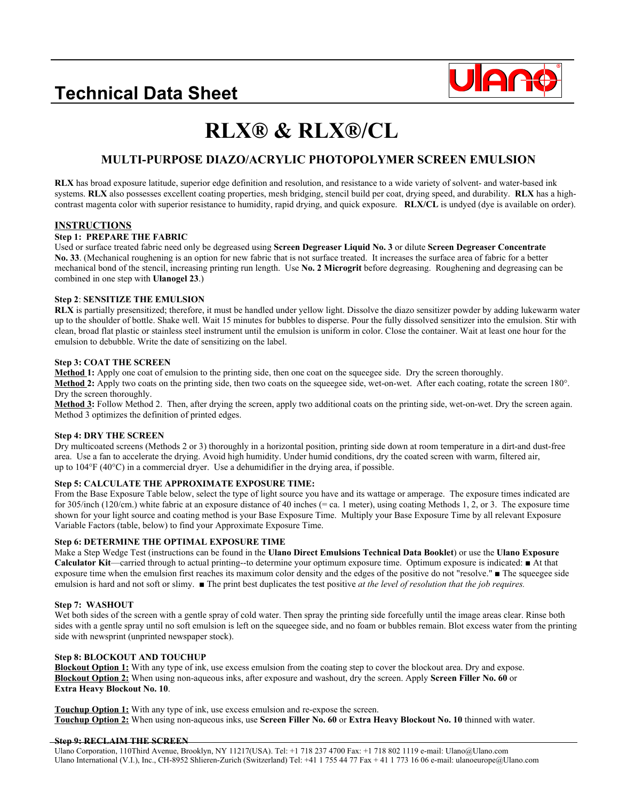### **Technical Data Sheet**



# **RLX® & RLX®/CL**

### **MULTI-PURPOSE DIAZO/ACRYLIC PHOTOPOLYMER SCREEN EMULSION**

**RLX** has broad exposure latitude, superior edge definition and resolution, and resistance to a wide variety of solvent- and water-based ink systems. **RLX** also possesses excellent coating properties, mesh bridging, stencil build per coat, drying speed, and durability. **RLX** has a highcontrast magenta color with superior resistance to humidity, rapid drying, and quick exposure. **RLX/CL** is undyed (dye is available on order).

#### **INSTRUCTIONS**

#### **Step 1: PREPARE THE FABRIC**

Used or surface treated fabric need only be degreased using **Screen Degreaser Liquid No. 3** or dilute **Screen Degreaser Concentrate No. 33**. (Mechanical roughening is an option for new fabric that is not surface treated. It increases the surface area of fabric for a better mechanical bond of the stencil, increasing printing run length. Use **No. 2 Microgrit** before degreasing. Roughening and degreasing can be combined in one step with **Ulanogel 23**.)

#### **Step 2**: **SENSITIZE THE EMULSION**

**RLX** is partially presensitized; therefore, it must be handled under yellow light. Dissolve the diazo sensitizer powder by adding lukewarm water up to the shoulder of bottle. Shake well. Wait 15 minutes for bubbles to disperse. Pour the fully dissolved sensitizer into the emulsion. Stir with clean, broad flat plastic or stainless steel instrument until the emulsion is uniform in color. Close the container. Wait at least one hour for the emulsion to debubble. Write the date of sensitizing on the label.

#### **Step 3: COAT THE SCREEN**

**Method 1:** Apply one coat of emulsion to the printing side, then one coat on the squeegee side. Dry the screen thoroughly. **Method 2:** Apply two coats on the printing side, then two coats on the squeegee side, wet-on-wet. After each coating, rotate the screen 180°. Dry the screen thoroughly.

**Method 3:** Follow Method 2. Then, after drying the screen, apply two additional coats on the printing side, wet-on-wet. Dry the screen again. Method 3 optimizes the definition of printed edges.

#### **Step 4: DRY THE SCREEN**

Dry multicoated screens (Methods 2 or 3) thoroughly in a horizontal position, printing side down at room temperature in a dirt-and dust-free area. Use a fan to accelerate the drying. Avoid high humidity. Under humid conditions, dry the coated screen with warm, filtered air, up to 104°F (40°C) in a commercial dryer. Use a dehumidifier in the drying area, if possible.

#### **Step 5: CALCULATE THE APPROXIMATE EXPOSURE TIME:**

From the Base Exposure Table below, select the type of light source you have and its wattage or amperage. The exposure times indicated are for 305/inch (120/cm.) white fabric at an exposure distance of 40 inches (= ca. 1 meter), using coating Methods 1, 2, or 3. The exposure time shown for your light source and coating method is your Base Exposure Time. Multiply your Base Exposure Time by all relevant Exposure Variable Factors (table, below) to find your Approximate Exposure Time.

#### **Step 6: DETERMINE THE OPTIMAL EXPOSURE TIME**

Make a Step Wedge Test (instructions can be found in the **Ulano Direct Emulsions Technical Data Booklet**) or use the **Ulano Exposure Calculator Kit**—carried through to actual printing--to determine your optimum exposure time. Optimum exposure is indicated: ■ At that exposure time when the emulsion first reaches its maximum color density and the edges of the positive do not "resolve." ■ The squeegee side emulsion is hard and not soft or slimy. ■ The print best duplicates the test positive *at the level of resolution that the job requires.* 

#### **Step 7: WASHOUT**

Wet both sides of the screen with a gentle spray of cold water. Then spray the printing side forcefully until the image areas clear. Rinse both sides with a gentle spray until no soft emulsion is left on the squeegee side, and no foam or bubbles remain. Blot excess water from the printing side with newsprint (unprinted newspaper stock).

#### **Step 8: BLOCKOUT AND TOUCHUP**

**Blockout Option 1:** With any type of ink, use excess emulsion from the coating step to cover the blockout area. Dry and expose. **Blockout Option 2:** When using non-aqueous inks, after exposure and washout, dry the screen. Apply **Screen Filler No. 60** or **Extra Heavy Blockout No. 10**.

**Touchup Option 1:** With any type of ink, use excess emulsion and re-expose the screen. **Touchup Option 2:** When using non-aqueous inks, use **Screen Filler No. 60** or **Extra Heavy Blockout No. 10** thinned with water.

#### **Step 9: RECLAIM THE SCREEN**

Ulano Corporation, 110Third Avenue, Brooklyn, NY 11217(USA). Tel: +1 718 237 4700 Fax: +1 718 802 1119 e-mail: Ulano@Ulano.com Ulano International (V.I.), Inc., CH-8952 Shlieren-Zurich (Switzerland) Tel: +41 1 755 44 77 Fax + 41 1 773 16 06 e-mail: ulanoeurope@Ulano.com